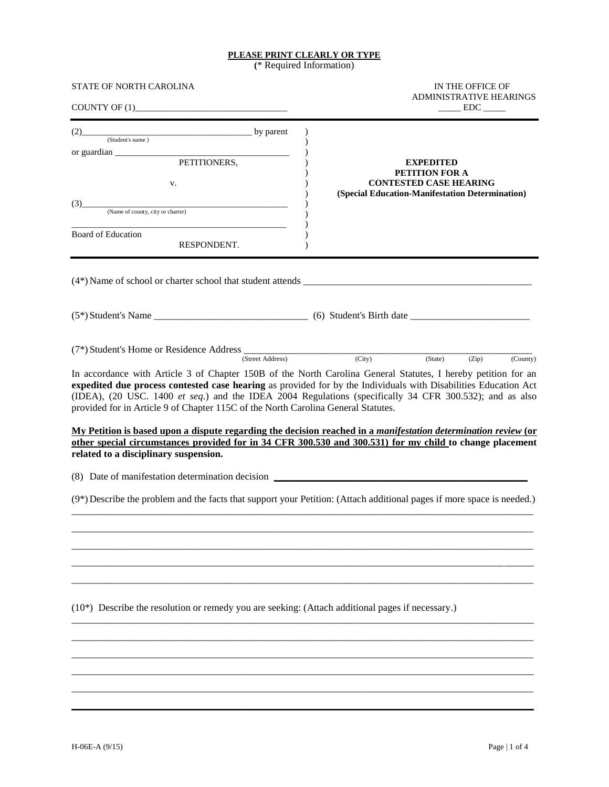#### **PLEASE PRINT CLEARLY OR TYPE**

**(**\* Required Information)

| STATE OF NORTH CAROLINA<br>COUNTY OF (1)                                                                                                                                                                                                                                                                                                                                                                                                                                                                                                                                                                                                                                                                                                                                               | IN THE OFFICE OF<br><b>ADMINISTRATIVE HEARINGS</b><br>$\rule{1em}{0.15mm} \text{EDC} \_\_$                             |
|----------------------------------------------------------------------------------------------------------------------------------------------------------------------------------------------------------------------------------------------------------------------------------------------------------------------------------------------------------------------------------------------------------------------------------------------------------------------------------------------------------------------------------------------------------------------------------------------------------------------------------------------------------------------------------------------------------------------------------------------------------------------------------------|------------------------------------------------------------------------------------------------------------------------|
| (2) by parent (Student's name)<br>or guardian $\frac{1}{\sqrt{1-\frac{1}{2}}\left(\frac{1}{2}-\frac{1}{2}\right)}$<br>PETITIONERS,<br>V.<br>(Name of county, city or charter)<br>(3)<br>Board of Education<br>RESPONDENT.                                                                                                                                                                                                                                                                                                                                                                                                                                                                                                                                                              | <b>EXPEDITED</b><br>PETITION FOR A<br><b>CONTESTED CASE HEARING</b><br>(Special Education-Manifestation Determination) |
|                                                                                                                                                                                                                                                                                                                                                                                                                                                                                                                                                                                                                                                                                                                                                                                        |                                                                                                                        |
|                                                                                                                                                                                                                                                                                                                                                                                                                                                                                                                                                                                                                                                                                                                                                                                        |                                                                                                                        |
| $(7^*)$ Student's Home or Residence Address (Street Address) (City) (State)<br>In accordance with Article 3 of Chapter 150B of the North Carolina General Statutes, I hereby petition for an<br>expedited due process contested case hearing as provided for by the Individuals with Disabilities Education Act<br>(IDEA), (20 USC. 1400 et seq.) and the IDEA 2004 Regulations (specifically 34 CFR 300.532); and as also<br>provided for in Article 9 of Chapter 115C of the North Carolina General Statutes.<br>My Petition is based upon a dispute regarding the decision reached in a manifestation determination review (or<br>other special circumstances provided for in 34 CFR 300.530 and 300.531) for my child to change placement<br>related to a disciplinary suspension. | (Zip)<br>(County)                                                                                                      |
| (8) Date of manifestation determination decision<br>(9*) Describe the problem and the facts that support your Petition: (Attach additional pages if more space is needed.)                                                                                                                                                                                                                                                                                                                                                                                                                                                                                                                                                                                                             |                                                                                                                        |
| (10*) Describe the resolution or remedy you are seeking: (Attach additional pages if necessary.)                                                                                                                                                                                                                                                                                                                                                                                                                                                                                                                                                                                                                                                                                       |                                                                                                                        |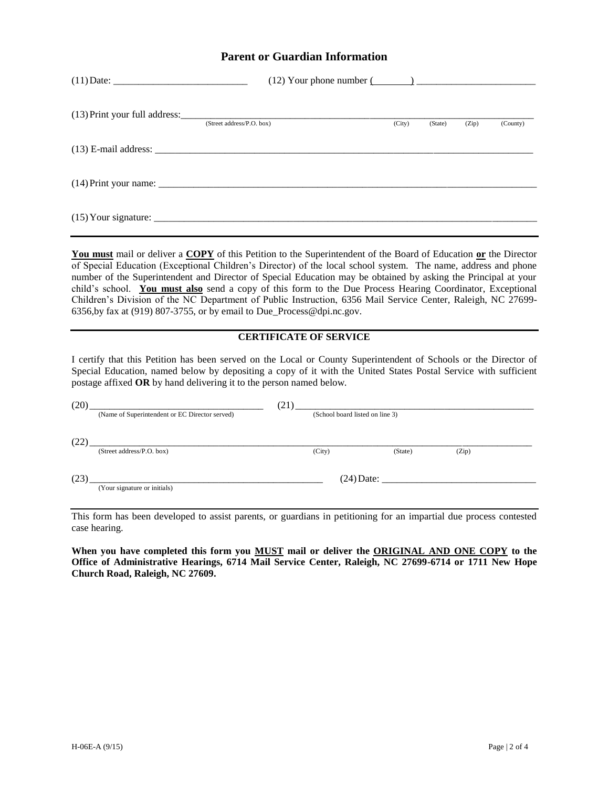#### **Parent or Guardian Information**

| (Street address/P.O. box) | (City) | (State) | (Zip) | (County) |
|---------------------------|--------|---------|-------|----------|
|                           |        |         |       |          |
|                           |        |         |       |          |
|                           |        |         |       |          |

**You must** mail or deliver a **COPY** of this Petition to the Superintendent of the Board of Education **or** the Director of Special Education (Exceptional Children's Director) of the local school system. The name, address and phone number of the Superintendent and Director of Special Education may be obtained by asking the Principal at your child's school. **You must also** send a copy of this form to the Due Process Hearing Coordinator, Exceptional Children's Division of the NC Department of Public Instruction, 6356 Mail Service Center, Raleigh, NC 27699- 6356,by fax at (919) 807-3755, or by email to Due\_Process@dpi.nc.gov.

#### **CERTIFICATE OF SERVICE**

I certify that this Petition has been served on the Local or County Superintendent of Schools or the Director of Special Education, named below by depositing a copy of it with the United States Postal Service with sufficient postage affixed **OR** by hand delivering it to the person named below.

| (20) |                                                | (21)         |                                 |         |       |  |
|------|------------------------------------------------|--------------|---------------------------------|---------|-------|--|
|      | (Name of Superintendent or EC Director served) |              | (School board listed on line 3) |         |       |  |
|      |                                                |              |                                 |         |       |  |
| (22  |                                                |              |                                 |         |       |  |
|      | (Street address/P.O. box)                      |              | (City)                          | (State) | (Zip) |  |
|      |                                                |              |                                 |         |       |  |
| (23  |                                                | $(24)$ Date: |                                 |         |       |  |
|      | (Your signature or initials)                   |              |                                 |         |       |  |
|      |                                                |              |                                 |         |       |  |

This form has been developed to assist parents, or guardians in petitioning for an impartial due process contested case hearing.

**When you have completed this form you MUST mail or deliver the ORIGINAL AND ONE COPY to the Office of Administrative Hearings, 6714 Mail Service Center, Raleigh, NC 27699-6714 or 1711 New Hope Church Road, Raleigh, NC 27609.**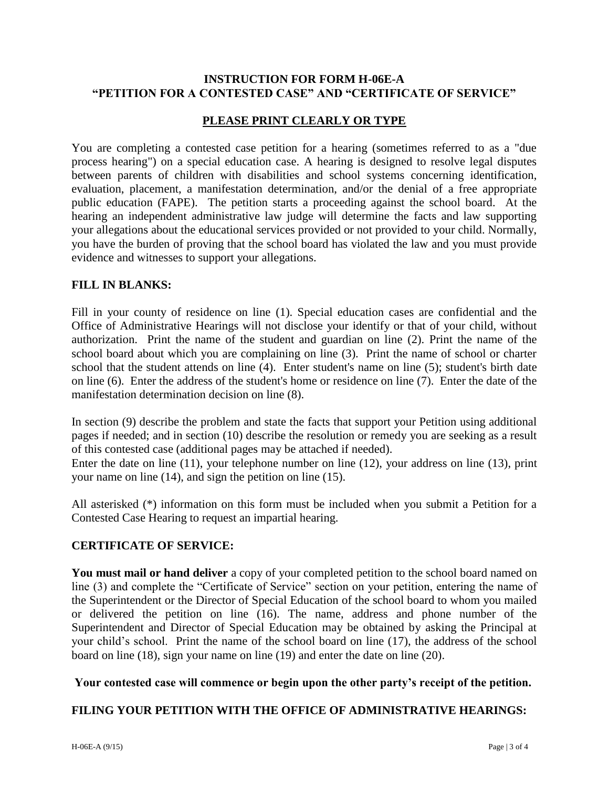### **INSTRUCTION FOR FORM H-06E-A "PETITION FOR A CONTESTED CASE" AND "CERTIFICATE OF SERVICE"**

## **PLEASE PRINT CLEARLY OR TYPE**

You are completing a contested case petition for a hearing (sometimes referred to as a "due process hearing") on a special education case. A hearing is designed to resolve legal disputes between parents of children with disabilities and school systems concerning identification, evaluation, placement, a manifestation determination, and/or the denial of a free appropriate public education (FAPE). The petition starts a proceeding against the school board. At the hearing an independent administrative law judge will determine the facts and law supporting your allegations about the educational services provided or not provided to your child. Normally, you have the burden of proving that the school board has violated the law and you must provide evidence and witnesses to support your allegations.

#### **FILL IN BLANKS:**

Fill in your county of residence on line (1). Special education cases are confidential and the Office of Administrative Hearings will not disclose your identify or that of your child, without authorization. Print the name of the student and guardian on line (2). Print the name of the school board about which you are complaining on line (3). Print the name of school or charter school that the student attends on line (4). Enter student's name on line (5); student's birth date on line (6). Enter the address of the student's home or residence on line (7). Enter the date of the manifestation determination decision on line (8).

In section (9) describe the problem and state the facts that support your Petition using additional pages if needed; and in section (10) describe the resolution or remedy you are seeking as a result of this contested case (additional pages may be attached if needed).

Enter the date on line (11), your telephone number on line (12), your address on line (13), print your name on line (14), and sign the petition on line (15).

All asterisked (\*) information on this form must be included when you submit a Petition for a Contested Case Hearing to request an impartial hearing.

### **CERTIFICATE OF SERVICE:**

You must mail or hand deliver a copy of your completed petition to the school board named on line (3) and complete the "Certificate of Service" section on your petition, entering the name of the Superintendent or the Director of Special Education of the school board to whom you mailed or delivered the petition on line (16). The name, address and phone number of the Superintendent and Director of Special Education may be obtained by asking the Principal at your child's school. Print the name of the school board on line (17), the address of the school board on line (18), sign your name on line (19) and enter the date on line (20).

### **Your contested case will commence or begin upon the other party's receipt of the petition.**

### **FILING YOUR PETITION WITH THE OFFICE OF ADMINISTRATIVE HEARINGS:**